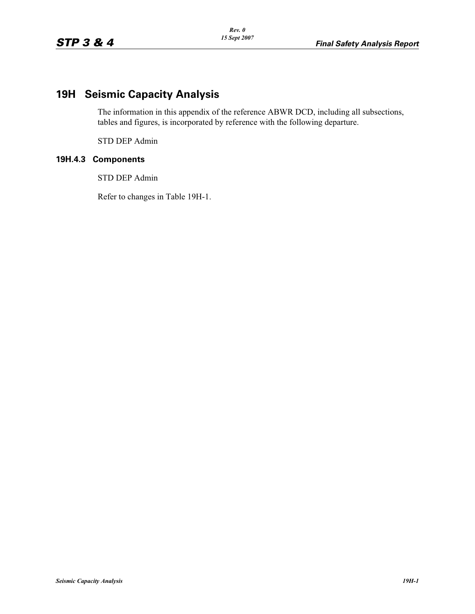## **19H Seismic Capacity Analysis**

The information in this appendix of the reference ABWR DCD, including all subsections, tables and figures, is incorporated by reference with the following departure.

STD DEP Admin

## **19H.4.3 Components**

STD DEP Admin

Refer to changes in Table 19H-1.